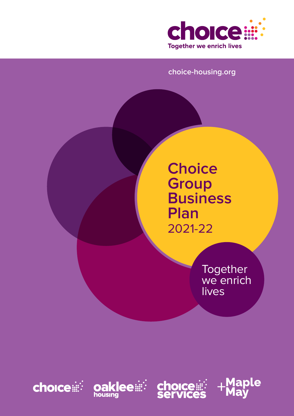

### **choice-housing.org**

**Choice Group Business Plan**  2021-22

> **Together** we enrich lives







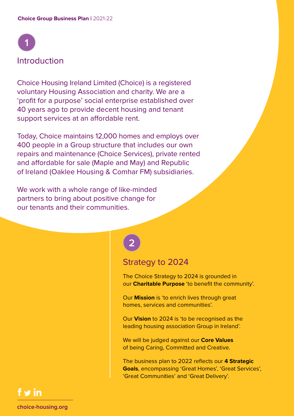

Choice Housing Ireland Limited (Choice) is a registered voluntary Housing Association and charity. We are a 'profit for a purpose' social enterprise established over 40 years ago to provide decent housing and tenant support services at an affordable rent.

Today, Choice maintains 12,000 homes and employs over 400 people in a Group structure that includes our own repairs and maintenance (Choice Services), private rented and affordable for sale (Maple and May) and Republic of Ireland (Oaklee Housing & Comhar FM) subsidiaries.

We work with a whole range of like-minded partners to bring about positive change for our tenants and their communities.

# **2**

### Strategy to 2024

The Choice Strategy to 2024 is grounded in our **Charitable Purpose** 'to benefit the community'.

Our **Mission** is 'to enrich lives through great homes, services and communities'.

Our **Vision** to 2024 is 'to be recognised as the leading housing association Group in Ireland'.

We will be judged against our **Core Values** of being Caring, Committed and Creative.

The business plan to 2022 reflects our **4 Strategic Goals**, encompassing 'Great Homes', 'Great Services', 'Great Communities' and 'Great Delivery'.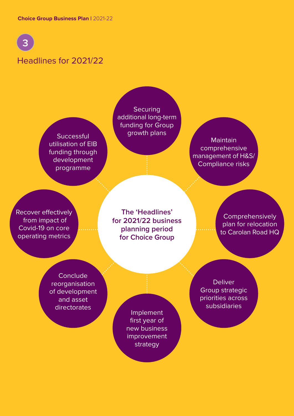

## Headlines for 2021/22

**Successful** utilisation of EIB funding through development programme

**Securing** additional long-term funding for Group growth plans

**Maintain** comprehensive management of H&S/ Compliance risks

Recover effectively from impact of Covid-19 on core operating metrics

**The 'Headlines' for 2021/22 business planning period for Choice Group**

**Comprehensively** plan for relocation to Carolan Road HQ

**Conclude** reorganisation of development and asset directorates

Implement first year of new business improvement strategy

**Deliver** Group strategic priorities across subsidiaries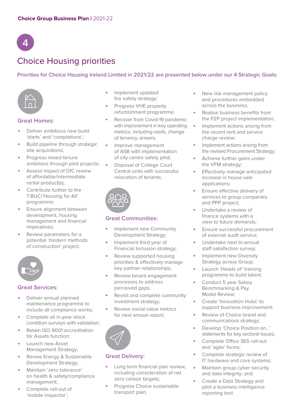# **4**

## Choice Housing priorities

#### **Priorities for Choice Housing Ireland Limited in 2021/22 are presented below under our 4 Strategic Goals:**



#### **Great Homes:**

- **•** Deliver ambitious new build 'starts' and 'completions';
- **•** Build pipeline through strategic site acquisitions;
- **•** Progress mixed tenure ambitions through pilot projects;
- **•** Assess impact of DfC review of affordable/intermediate rental product(s);
- **•** Contribute further to the T:BUC/'Housing for All' programme;
- **•** Ensure alignment between development, housing management and financial imperatives;
- **•** Review parameters for a potential 'modern methods of construction' project;



#### **Great Services:**

- **•** Deliver annual planned maintenance programme to include all compliance works;
- **•** Complete all in-year stock condition surveys with validation;
- **•** Retain ISO 9001 accreditation for Assets function;
- **•** Launch new Asset Management Strategy;
- **•** Renew Energy & Sustainable Development Strategy;
- **•** Maintain 'zero tolerance' on health & safety/compliance management;
- **•** Complete roll-out of 'mobile inspector';
- **•** Implement updated fire safety strategy;
- **•** Progress VHE property refurbishment programme;
- **•** Recover from Covid-19 pandemic with improvement in key operating metrics, including voids, change of tenancy, arrears;
- **•** Improve management of ASB with implementation of city centre safety pilot;
- **•** Disposal of College Court Central units with successful relocation of tenants;



#### **Great Communities:**

- **•** Implement new Community Development Strategy;
- **•** Implement third year of Financial Inclusion strategy;
- **•** Review supported housing priorities & effectively manage key partner relationships;
- **•** Review tenant engagement processes to address perceived gaps;
- **•** Revisit and complete community investment strategy;
- **•** Review social value metrics for next annual report;



#### **Great Delivery:**

- **•** Long term financial plan review, including consideration of net zero carbon targets;
- **•** Progress Choice sustainable transport plan;
- **•** New risk management policy and procedures embedded across the business;
- **•** Realise business benefits from the P2P project implementation;
- **•** Implement actions arising from the recent rent and service charge review;
- **•** Implement actions arising from the revised Procurement Strategy;
- **•** Achieve further gains under the VFM strategy;
- **•** Effectively manage anticipated increase in house sale applications;
- **•** Ensure effective delivery of services to group companies and PPP project;
- **•** Undertake a review of finance systems with a view to future demands;
- **•** Ensure successful procurement of external audit service;
- **•** Undertake next bi-annual staff satisfaction survey;
- **•** Implement new Diversity Strategy across Group;
- **•** Launch 'Heads of' training programme to build talent;
- **•** Conduct 5 year Salary Benchmarking & Pay Model Review;
- **•** Create 'Innovation Hubs' to support business improvement;
- **•** Review of Choice brand and communications strategy;
- **•** Develop 'Choice Position on…' statements for key sectoral issues;
- **•** Complete Office 365 roll-out and 'agile' forms;
- **•** Complete strategic review of IT hardware and core systems;
- **•** Maintain group cyber security and data integrity; and
- **•** Create a Data Strategy and pilot a business intelligence reporting tool.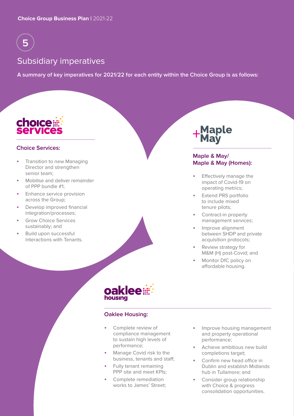

## Subsidiary imperatives

**A summary of key imperatives for 2021/22 for each entity within the Choice Group is as follows:**



#### **Choice Services:**

- **•** Transition to new Managing Director and strengthen senior team;
- **•** Mobilise and deliver remainder of PPP bundle #1;
- **•** Enhance service provision across the Group;
- **•** Develop improved financial integration/processes;
- **•** Grow Choice Services sustainably; and
- **•** Build upon successful interactions with Tenants.



#### **Maple & May/ Maple & May (Homes):**

- **•** Effectively manage the impact of Covid-19 on operating metrics;
- **•** Extend PRS portfolio to include mixed tenure pilots;
- **•** Contract-in property management services;
- **•** Improve alignment between SHDP and private acquisition protocols;
- **•** Review strategy for M&M (H) post-Covid; and
- **•** Monitor DfC policy on affordable housing.



#### **Oaklee Housing:**

- **•** Complete review of compliance management to sustain high levels of performance;
- **•** Manage Covid risk to the business, tenants and staff;
- **•** Fully tenant remaining PPP site and meet KPIs;
- **•** Complete remediation works to James' Street;
- **•** Improve housing management and property operational performance;
- **•** Achieve ambitious new build completions target;
- **•** Confirm new head office in Dublin and establish Midlands hub in Tullamore; and
- **•** Consider group relationship with Choice & progress consolidation opportunities.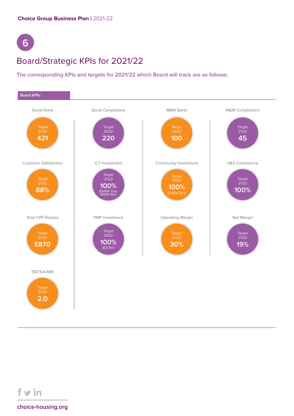# **6**

## Board/Strategic KPIs for 2021/22

#### **The corresponding KPIs and targets for 2021/22 which Board will track are as follows:**



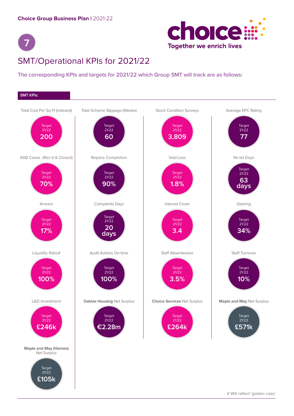



## SMT/Operational KPIs for 2021/22

#### **The corresponding KPIs and targets for 2021/22 which Group SMT will track are as follows:**